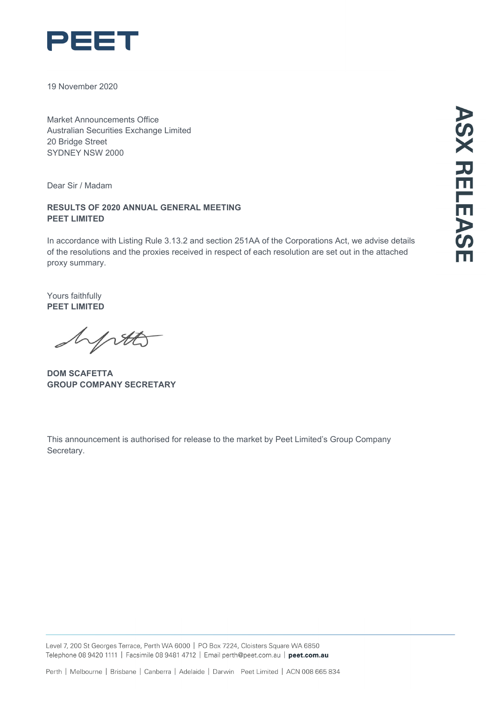

19 November 2020

Market Announcements Office Australian Securities Exchange Limited 20 Bridge Street SYDNEY NSW 2000

Dear Sir / Madam

## **RESULTS OF 2020 ANNUAL GENERAL MEETING PEET LIMITED**

In accordance with Listing Rule 3.13.2 and section 251AA of the Corporations Act, we advise details of the resolutions and the proxies received in respect of each resolution are set out in the attached proxy summary.

Yours faithfully **PEET LIMITED**

hptto

**DOM SCAFETTA GROUP COMPANY SECRETARY**

This announcement is authorised for release to the market by Peet Limited's Group Company Secretary.

**ASX RELEASE** 

Level 7, 200 St Georges Terrace, Perth WA 6000 | PO Box 7224, Cloisters Square WA 6850 Telephone 08 9420 1111 | Facsimile 08 9481 4712 | Email perth@peet.com.au | peet.com.au